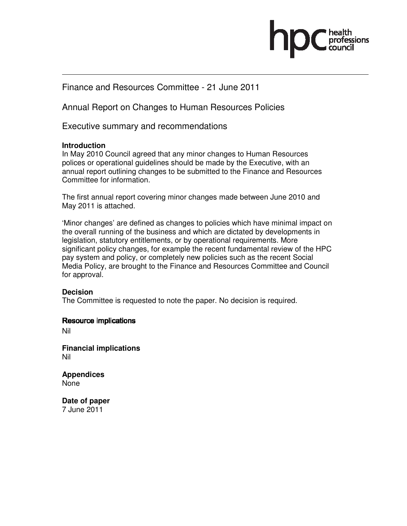

## Finance and Resources Committee - 21 June 2011

Annual Report on Changes to Human Resources Policies

Executive summary and recommendations

## **Introduction**

In May 2010 Council agreed that any minor changes to Human Resources polices or operational guidelines should be made by the Executive, with an annual report outlining changes to be submitted to the Finance and Resources Committee for information.

The first annual report covering minor changes made between June 2010 and May 2011 is attached.

'Minor changes' are defined as changes to policies which have minimal impact on the overall running of the business and which are dictated by developments in legislation, statutory entitlements, or by operational requirements. More significant policy changes, for example the recent fundamental review of the HPC pay system and policy, or completely new policies such as the recent Social Media Policy, are brought to the Finance and Resources Committee and Council for approval.

## **Decision**

The Committee is requested to note the paper. No decision is required.

Resource implications

Nil

**Financial implications**  Nil

**Appendices**  None

**Date of paper**  7 June 2011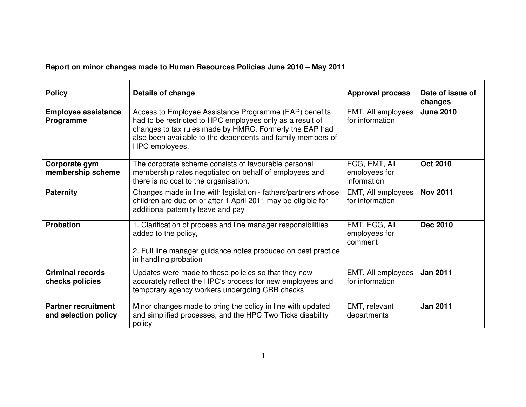**Report on minor changes made to Human Resources Policies June 2010 – May 2011** 

| <b>Policy</b>                                      | Details of change                                                                                                                                                                                                                                               | <b>Approval process</b>                       | Date of issue of<br>changes |
|----------------------------------------------------|-----------------------------------------------------------------------------------------------------------------------------------------------------------------------------------------------------------------------------------------------------------------|-----------------------------------------------|-----------------------------|
| <b>Employee assistance</b><br>Programme            | Access to Employee Assistance Programme (EAP) benefits<br>had to be restricted to HPC employees only as a result of<br>changes to tax rules made by HMRC. Formerly the EAP had<br>also been available to the dependents and family members of<br>HPC employees. | EMT, All employees<br>for information         | <b>June 2010</b>            |
| Corporate gym<br>membership scheme                 | The corporate scheme consists of favourable personal<br>membership rates negotiated on behalf of employees and<br>there is no cost to the organisation.                                                                                                         | ECG, EMT, All<br>employees for<br>information | <b>Oct 2010</b>             |
| <b>Paternity</b>                                   | Changes made in line with legislation - fathers/partners whose<br>children are due on or after 1 April 2011 may be eligible for<br>additional paternity leave and pay                                                                                           | EMT, All employees<br>for information         | <b>Nov 2011</b>             |
| <b>Probation</b>                                   | 1. Clarification of process and line manager responsibilities<br>added to the policy,<br>2. Full line manager guidance notes produced on best practice<br>in handling probation                                                                                 | EMT, ECG, All<br>employees for<br>comment     | <b>Dec 2010</b>             |
| <b>Criminal records</b><br>checks policies         | Updates were made to these policies so that they now<br>accurately reflect the HPC's process for new employees and<br>temporary agency workers undergoing CRB checks                                                                                            | EMT, All employees<br>for information         | <b>Jan 2011</b>             |
| <b>Partner recruitment</b><br>and selection policy | Minor changes made to bring the policy in line with updated<br>and simplified processes, and the HPC Two Ticks disability<br>policy                                                                                                                             | EMT, relevant<br>departments                  | <b>Jan 2011</b>             |